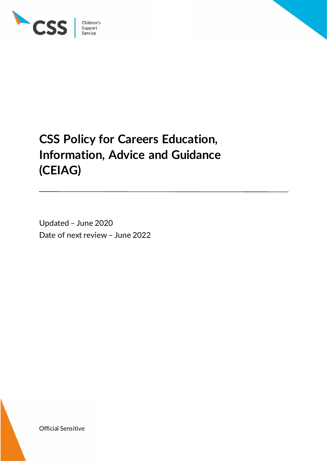

Children's<br>Support<br>Service

# **CSS Policy for Careers Education, Information, Advice and Guidance (CEIAG)**

Updated – June 2020 Date of next review – June 2022

Official Sensitive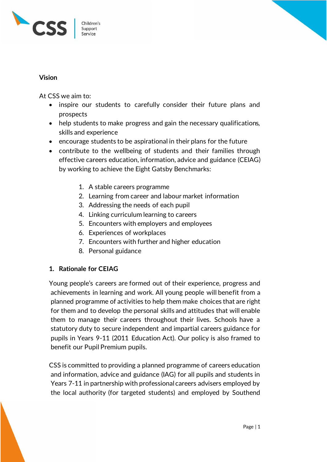

#### **Vision**

At CSS we aim to:

- inspire our students to carefully consider their future plans and prospects
- help students to make progress and gain the necessary qualifications, skills and experience
- encourage students to be aspirational in their plans for the future
- contribute to the wellbeing of students and their families through effective careers education, information, advice and guidance (CEIAG) by working to achieve the Eight Gatsby Benchmarks:
	- 1. A stable careers programme
	- 2. Learning from career and labour market information
	- 3. Addressing the needs of each pupil
	- 4. Linking curriculum learning to careers
	- 5. Encounters with employers and employees
	- 6. Experiences of workplaces
	- 7. Encounters with further and higher education
	- 8. Personal guidance

## **1. Rationale for CEIAG**

Young people's careers are formed out of their experience, progress and achievements in learning and work. All young people will benefit from a planned programme of activities to help them make choices that are right for them and to develop the personal skills and attitudes that will enable them to manage their careers throughout their lives. Schools have a statutory duty to secure independent and impartial careers guidance for pupils in Years 9-11 (2011 Education Act). Our policy is also framed to benefit our Pupil Premium pupils.

CSS is committed to providing a planned programme of careers education and information, advice and guidance (IAG) for all pupils and students in Years 7-11 in partnership with professional careers advisers employed by the local authority (for targeted students) and employed by Southend

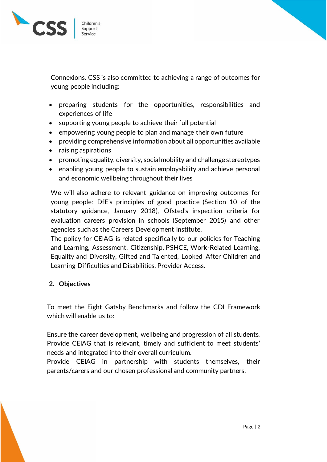

Connexions. CSS is also committed to achieving a range of outcomes for young people including:

- preparing students for the opportunities, responsibilities and experiences of life
- supporting young people to achieve their full potential
- empowering young people to plan and manage their own future
- providing comprehensive information about all opportunities available
- raising aspirations
- promoting equality, diversity, social mobility and challenge stereotypes
- enabling young people to sustain employability and achieve personal and economic wellbeing throughout their lives

We will also adhere to relevant guidance on improving outcomes for young people: DfE's principles of good practice (Section 10 of the statutory guidance, January 2018), Ofsted's inspection criteria for evaluation careers provision in schools (September 2015) and other agencies such as the Careers Development Institute.

The policy for CEIAG is related specifically to our policies for Teaching and Learning, Assessment, Citizenship, PSHCE, Work-Related Learning, Equality and Diversity, Gifted and Talented, Looked After Children and Learning Difficulties and Disabilities, Provider Access.

#### **2. Objectives**

To meet the Eight Gatsby Benchmarks and follow the CDI Framework which will enable us to:

Ensure the career development, wellbeing and progression of all students. Provide CEIAG that is relevant, timely and sufficient to meet students' needs and integrated into their overall curriculum.

Provide CEIAG in partnership with students themselves, their parents/carers and our chosen professional and community partners.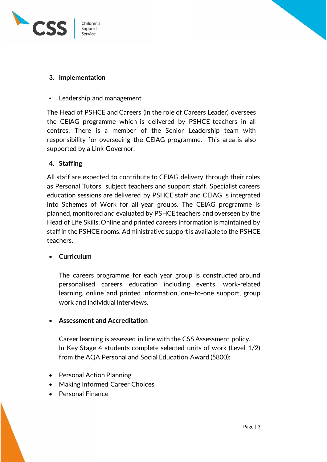



## **3. Implementation**

• Leadership and management

The Head of PSHCE and Careers (in the role of Careers Leader) oversees the CEIAG programme which is delivered by PSHCE teachers in all centres. There is a member of the Senior Leadership team with responsibility for overseeing the CEIAG programme. This area is also supported by a Link Governor.

#### **4. Staffing**

All staff are expected to contribute to CEIAG delivery through their roles as Personal Tutors, subject teachers and support staff. Specialist careers education sessions are delivered by PSHCE staff and CEIAG is integrated into Schemes of Work for all year groups. The CEIAG programme is planned, monitored and evaluated by PSHCE teachers and overseen by the Head of Life Skills. Online and printed careers information is maintained by staff in the PSHCE rooms. Administrative support is available to the PSHCE teachers.

## **Curriculum**

The careers programme for each year group is constructed around personalised careers education including events, work-related learning, online and printed information, one-to-one support, group work and individual interviews.

## **Assessment and Accreditation**

Career learning is assessed in line with the CSS Assessment policy. In Key Stage 4 students complete selected units of work (Level 1/2) from the AQA Personal and Social Education Award (5800):

- Personal Action Planning
- Making Informed Career Choices
- Personal Finance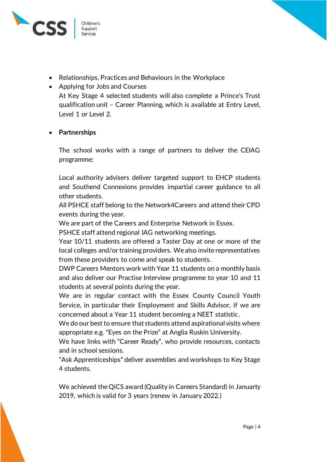

- Relationships, Practices and Behaviours in the Workplace
- Applying for Jobs and Courses At Key Stage 4 selected students will also complete a Prince's Trust qualification unit – Career Planning, which is available at Entry Level, Level 1 or Level 2.

## **Partnerships**

The school works with a range of partners to deliver the CEIAG programme:

Local authority advisers deliver targeted support to EHCP students and Southend Connexions provides impartial career guidance to all other students.

All PSHCE staff belong to the Network4Careers and attend their CPD events during the year.

We are part of the Careers and Enterprise Network in Essex.

PSHCE staff attend regional IAG networking meetings.

Year 10/11 students are offered a Taster Day at one or more of the local colleges and/or training providers. We also invite representatives from these providers to come and speak to students.

DWP Careers Mentors work with Year 11 students on a monthly basis and also deliver our Practise Interview programme to year 10 and 11 students at several points during the year.

We are in regular contact with the Essex County Council Youth Service, in particular their Employment and Skills Advisor, if we are concerned about a Year 11 student becoming a NEET statistic.

We do our best to ensure that students attend aspirational visits where appropriate e.g. "Eyes on the Prize" at Anglia Ruskin University.

We have links with "Career Ready", who provide resources, contacts and in school sessions.

"Ask Apprenticeships" deliver assemblies and workshops to Key Stage 4 students.

We achieved the QiCS award (Quality in Careers Standard) in Januarty 2019, which is valid for 3 years (renew in January 2022.)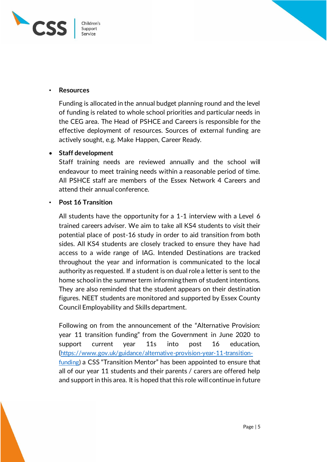



#### • **Resources**

Funding is allocated in the annual budget planning round and the level of funding is related to whole school priorities and particular needs in the CEG area. The Head of PSHCE and Careers is responsible for the effective deployment of resources. Sources of external funding are actively sought, e.g. Make Happen, Career Ready.

## **Staff development**

Staff training needs are reviewed annually and the school will endeavour to meet training needs within a reasonable period of time. All PSHCE staff are members of the Essex Network 4 Careers and attend their annual conference.

## • **Post 16 Transition**

All students have the opportunity for a 1-1 interview with a Level 6 trained careers adviser. We aim to take all KS4 students to visit their potential place of post-16 study in order to aid transition from both sides. All KS4 students are closely tracked to ensure they have had access to a wide range of IAG. Intended Destinations are tracked throughout the year and information is communicated to the local authority as requested. If a student is on dual role a letter is sent to the home school in the summer term informing them of student intentions. They are also reminded that the student appears on their destination figures. NEET students are monitored and supported by Essex County Council Employability and Skills department.

Following on from the announcement of the "Alternative Provision: year 11 transition funding" from the Government in June 2020 to support current year 11s into post 16 education, ([https://www.gov.uk/guidance/alternative-provision-year-11-transition](https://www.gov.uk/guidance/alternative-provision-year-11-transition-funding)[funding\)](https://www.gov.uk/guidance/alternative-provision-year-11-transition-funding) a CSS "Transition Mentor" has been appointed to ensure that all of our year 11 students and their parents / carers are offered help and support in this area. It is hoped that this role will continue in future